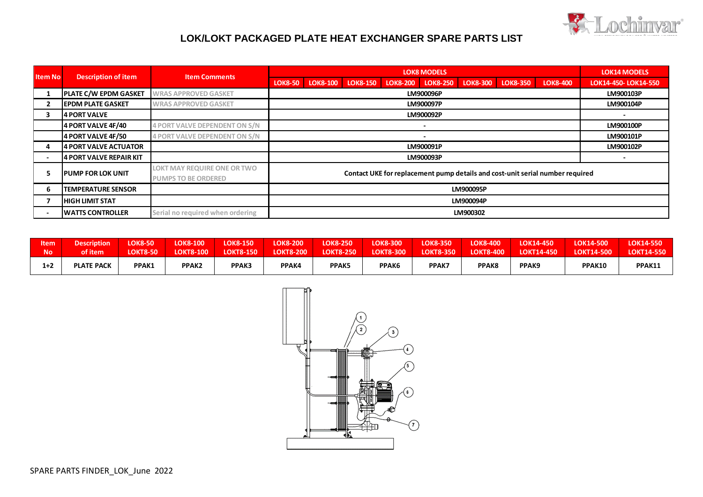

## **LOK/LOKT PACKAGED PLATE HEAT EXCHANGER SPARE PARTS LIST**

| <b>Item No</b> | <b>Description of item</b>     | <b>Item Comments</b>                                      | <b>LOK8 MODELS</b>                                                                                                                           | <b>LOK14 MODELS</b>  |  |  |  |  |  |  |
|----------------|--------------------------------|-----------------------------------------------------------|----------------------------------------------------------------------------------------------------------------------------------------------|----------------------|--|--|--|--|--|--|
|                |                                |                                                           | LOK8-150<br><b>LOK8-250</b><br><b>LOK8-300</b><br><b>LOK8-400</b><br><b>LOK8-50</b><br><b>LOK8-100</b><br><b>LOK8-350</b><br><b>LOK8-200</b> | LOK14-450- LOK14-550 |  |  |  |  |  |  |
|                | <b>PLATE C/W EPDM GASKET</b>   | <b>WRAS APPROVED GASKET</b>                               | LM900096P                                                                                                                                    | LM900103P            |  |  |  |  |  |  |
| $\overline{2}$ | <b>IEPDM PLATE GASKET</b>      | <b>WRAS APPROVED GASKET</b>                               | LM900097P                                                                                                                                    | LM900104P            |  |  |  |  |  |  |
|                | 4 PORT VALVE                   |                                                           | LM900092P                                                                                                                                    |                      |  |  |  |  |  |  |
|                | 4 PORT VALVE 4F/40             | <b>4 PORT VALVE DEPENDENT ON S/N</b>                      |                                                                                                                                              | LM900100P            |  |  |  |  |  |  |
|                | 4 PORT VALVE 4F/50             | <b>4 PORT VALVE DEPENDENT ON S/N</b>                      |                                                                                                                                              | LM900101P            |  |  |  |  |  |  |
|                | 4 PORT VALVE ACTUATOR          |                                                           | LM900091P                                                                                                                                    | LM900102P            |  |  |  |  |  |  |
|                | <b>4 PORT VALVE REPAIR KIT</b> |                                                           | LM900093P                                                                                                                                    |                      |  |  |  |  |  |  |
|                | <b>IPUMP FOR LOK UNIT</b>      | LOKT MAY REQUIRE ONE OR TWO<br><b>PUMPS TO BE ORDERED</b> | Contact UKE for replacement pump details and cost-unit serial number required                                                                |                      |  |  |  |  |  |  |
| 6              | <b>TEMPERATURE SENSOR</b>      |                                                           | LM900095P                                                                                                                                    |                      |  |  |  |  |  |  |
|                | <b>HIGH LIMIT STAT</b>         |                                                           | LM900094P                                                                                                                                    |                      |  |  |  |  |  |  |
|                | <b>IWATTS CONTROLLER</b>       | Serial no required when ordering                          | LM900302                                                                                                                                     |                      |  |  |  |  |  |  |

| <b>Item</b> | <b>Description</b> | <b>LOK8-50</b>  | <b>LOK8-100</b>   | <b>LOK8-150</b>  | <b>LOK8-200</b>  | <b>LOK8-250</b>  | <b>LOK8-300</b>  | <b>LOK8-350</b>  | <b>LOK8-400</b> | LOK14-450         | <b>LOK14-500</b>  | LOK14-550         |
|-------------|--------------------|-----------------|-------------------|------------------|------------------|------------------|------------------|------------------|-----------------|-------------------|-------------------|-------------------|
| <b>No</b>   | of item            | <b>LOKT8-50</b> | <b>LOKT8-100</b>  | <b>LOKT8-150</b> | <b>LOKT8-200</b> | <b>LOKT8-250</b> | <b>LOKT8-300</b> | <b>LOKT8-350</b> | LOKT8-400       | <b>LOKT14-450</b> | <b>LOKT14-500</b> | <b>LOKT14-550</b> |
| $1+2$       | <b>PLATE PACK</b>  | PPAK1           | PPAK <sub>2</sub> | <b>PPAK3</b>     | <b>PPAK4</b>     | <b>PPAK5</b>     | PPAK6            | <b>PPAK7</b>     | PPAK8           | PPAK <sub>9</sub> | PPAK10            | PPAK11            |